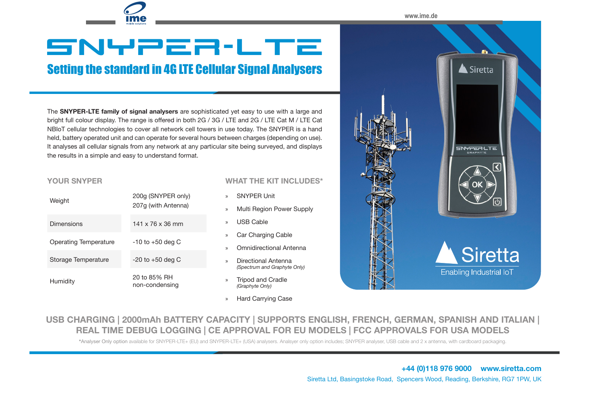**www.ime.de**

 $\triangle$  Siretta

SNYPER.LTE

## SNYPER**-**LTE

## Setting the standard in 4G LTE Cellular Signal Analysers

The **SNYPER-LTE family of signal analysers** are sophisticated yet easy to use with a large and bright full colour display. The range is offered in both 2G / 3G / LTE and 2G / LTE Cat M / LTE Cat NBIoT cellular technologies to cover all network cell towers in use today. The SNYPER is a hand held, battery operated unit and can operate for several hours between charges (depending on use). It analyses all cellular signals from any network at any particular site being surveyed, and displays the results in a simple and easy to understand format.

## **YOUR SNYPER**

| Weight                       | 200g (SNYPER only)<br>207q (with Antenna) | $\mathcal{P}$<br>$\mathcal{V}$ | <b>SNYPER Unit</b><br>Multi Region Power Sup        |  |  |
|------------------------------|-------------------------------------------|--------------------------------|-----------------------------------------------------|--|--|
| Dimensions                   | $141 \times 76 \times 36$ mm              | $\mathcal{V}$                  | <b>USB Cable</b>                                    |  |  |
| <b>Operating Temperature</b> | $-10$ to $+50$ deg C                      | $\mathcal{V}$                  | Car Charging Cable                                  |  |  |
| Storage Temperature          | $-20$ to $+50$ deg C                      | $\mathcal{P}$                  | <b>Omnidirectional Antenna</b>                      |  |  |
|                              |                                           | $\mathcal{P}$                  | Directional Antenna<br>(Spectrum and Graphyte Only) |  |  |
| Humidity                     | 20 to 85% RH<br>non-condensing            | $\gg$                          | <b>Tripod and Cradle</b><br>(Graphyte Only)         |  |  |

**WHAT THE KIT INCLUDES\***

» Hard Carrying Case

- n Power Supply onal Antenna **Siretta** Enabling Industrial IoT
- **USB CHARGING | 2000mAh BATTERY CAPACITY | SUPPORTS ENGLISH, FRENCH, GERMAN, SPANISH AND ITALIAN | REAL TIME DEBUG LOGGING | CE APPROVAL FOR EU MODELS | FCC APPROVALS FOR USA MODELS**

**\***Analyser Only option available for SNYPER-LTE+ (EU) and SNYPER-LTE+ (USA) analysers. Analsyer only option includes; SNYPER analyser, USB cable and 2 x antenna, with cardboard packaging.